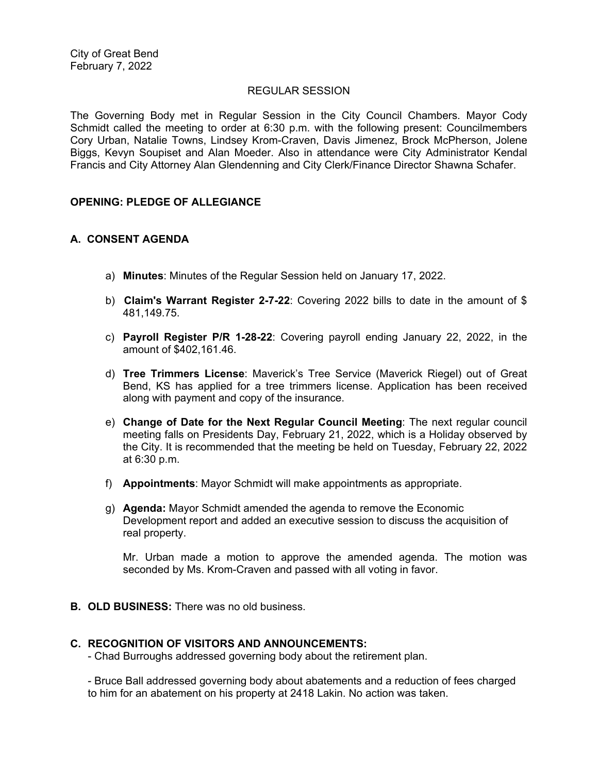## REGULAR SESSION

The Governing Body met in Regular Session in the City Council Chambers. Mayor Cody Schmidt called the meeting to order at 6:30 p.m. with the following present: Councilmembers Cory Urban, Natalie Towns, Lindsey Krom-Craven, Davis Jimenez, Brock McPherson, Jolene Biggs, Kevyn Soupiset and Alan Moeder. Also in attendance were City Administrator Kendal Francis and City Attorney Alan Glendenning and City Clerk/Finance Director Shawna Schafer.

## **OPENING: PLEDGE OF ALLEGIANCE**

# **A. CONSENT AGENDA**

- a) **Minutes**: Minutes of the Regular Session held on January 17, 2022.
- b) **Claim's Warrant Register 2-7-22**: Covering 2022 bills to date in the amount of \$ 481,149.75.
- c) **Payroll Register P/R 1-28-22**: Covering payroll ending January 22, 2022, in the amount of \$402,161.46.
- d) **Tree Trimmers License**: Maverick's Tree Service (Maverick Riegel) out of Great Bend, KS has applied for a tree trimmers license. Application has been received along with payment and copy of the insurance.
- e) **Change of Date for the Next Regular Council Meeting**: The next regular council meeting falls on Presidents Day, February 21, 2022, which is a Holiday observed by the City. It is recommended that the meeting be held on Tuesday, February 22, 2022 at 6:30 p.m.
- f) **Appointments**: Mayor Schmidt will make appointments as appropriate.
- g) **Agenda:** Mayor Schmidt amended the agenda to remove the Economic Development report and added an executive session to discuss the acquisition of real property.

Mr. Urban made a motion to approve the amended agenda. The motion was seconded by Ms. Krom-Craven and passed with all voting in favor.

**B. OLD BUSINESS:** There was no old business.

### **C. RECOGNITION OF VISITORS AND ANNOUNCEMENTS:**

- Chad Burroughs addressed governing body about the retirement plan.

- Bruce Ball addressed governing body about abatements and a reduction of fees charged to him for an abatement on his property at 2418 Lakin. No action was taken.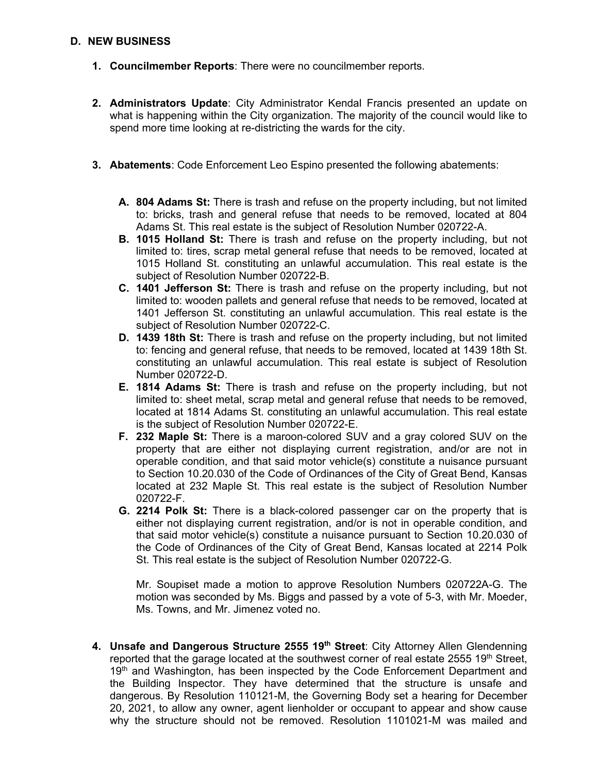## **D. NEW BUSINESS**

- **1. Councilmember Reports**: There were no councilmember reports.
- **2. Administrators Update**: City Administrator Kendal Francis presented an update on what is happening within the City organization. The majority of the council would like to spend more time looking at re-districting the wards for the city.
- **3. Abatements**: Code Enforcement Leo Espino presented the following abatements:
	- **A. 804 Adams St:** There is trash and refuse on the property including, but not limited to: bricks, trash and general refuse that needs to be removed, located at 804 Adams St. This real estate is the subject of Resolution Number 020722-A.
	- **B. 1015 Holland St:** There is trash and refuse on the property including, but not limited to: tires, scrap metal general refuse that needs to be removed, located at 1015 Holland St. constituting an unlawful accumulation. This real estate is the subject of Resolution Number 020722-B.
	- **C. 1401 Jefferson St:** There is trash and refuse on the property including, but not limited to: wooden pallets and general refuse that needs to be removed, located at 1401 Jefferson St. constituting an unlawful accumulation. This real estate is the subject of Resolution Number 020722-C.
	- **D. 1439 18th St:** There is trash and refuse on the property including, but not limited to: fencing and general refuse, that needs to be removed, located at 1439 18th St. constituting an unlawful accumulation. This real estate is subject of Resolution Number 020722-D.
	- **E. 1814 Adams St:** There is trash and refuse on the property including, but not limited to: sheet metal, scrap metal and general refuse that needs to be removed, located at 1814 Adams St. constituting an unlawful accumulation. This real estate is the subject of Resolution Number 020722-E.
	- **F. 232 Maple St:** There is a maroon-colored SUV and a gray colored SUV on the property that are either not displaying current registration, and/or are not in operable condition, and that said motor vehicle(s) constitute a nuisance pursuant to Section 10.20.030 of the Code of Ordinances of the City of Great Bend, Kansas located at 232 Maple St. This real estate is the subject of Resolution Number 020722-F.
	- **G. 2214 Polk St:** There is a black-colored passenger car on the property that is either not displaying current registration, and/or is not in operable condition, and that said motor vehicle(s) constitute a nuisance pursuant to Section 10.20.030 of the Code of Ordinances of the City of Great Bend, Kansas located at 2214 Polk St. This real estate is the subject of Resolution Number 020722-G.

Mr. Soupiset made a motion to approve Resolution Numbers 020722A-G. The motion was seconded by Ms. Biggs and passed by a vote of 5-3, with Mr. Moeder, Ms. Towns, and Mr. Jimenez voted no.

**4. Unsafe and Dangerous Structure 2555 19th Street**: City Attorney Allen Glendenning reported that the garage located at the southwest corner of real estate  $2555$  19<sup>th</sup> Street, 19<sup>th</sup> and Washington, has been inspected by the Code Enforcement Department and the Building Inspector. They have determined that the structure is unsafe and dangerous. By Resolution 110121-M, the Governing Body set a hearing for December 20, 2021, to allow any owner, agent lienholder or occupant to appear and show cause why the structure should not be removed. Resolution 1101021-M was mailed and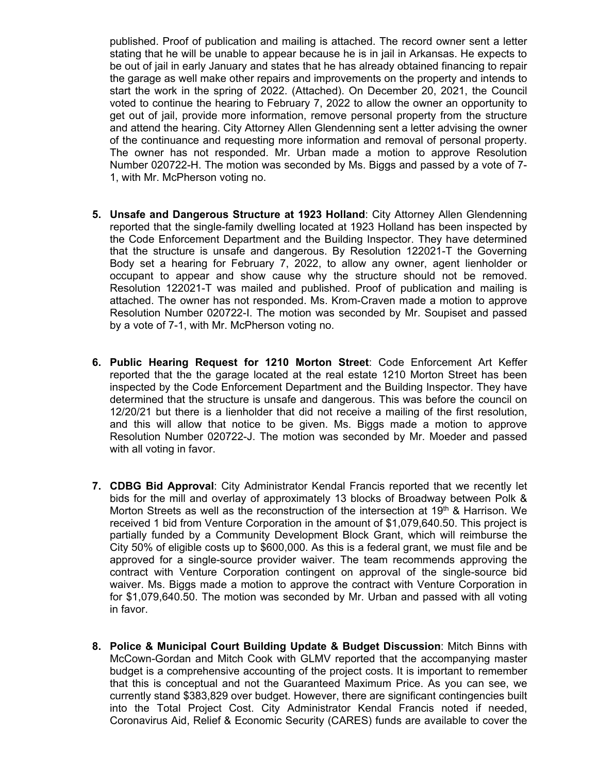published. Proof of publication and mailing is attached. The record owner sent a letter stating that he will be unable to appear because he is in jail in Arkansas. He expects to be out of jail in early January and states that he has already obtained financing to repair the garage as well make other repairs and improvements on the property and intends to start the work in the spring of 2022. (Attached). On December 20, 2021, the Council voted to continue the hearing to February 7, 2022 to allow the owner an opportunity to get out of jail, provide more information, remove personal property from the structure and attend the hearing. City Attorney Allen Glendenning sent a letter advising the owner of the continuance and requesting more information and removal of personal property. The owner has not responded. Mr. Urban made a motion to approve Resolution Number 020722-H. The motion was seconded by Ms. Biggs and passed by a vote of 7- 1, with Mr. McPherson voting no.

- **5. Unsafe and Dangerous Structure at 1923 Holland**: City Attorney Allen Glendenning reported that the single-family dwelling located at 1923 Holland has been inspected by the Code Enforcement Department and the Building Inspector. They have determined that the structure is unsafe and dangerous. By Resolution 122021-T the Governing Body set a hearing for February 7, 2022, to allow any owner, agent lienholder or occupant to appear and show cause why the structure should not be removed. Resolution 122021-T was mailed and published. Proof of publication and mailing is attached. The owner has not responded. Ms. Krom-Craven made a motion to approve Resolution Number 020722-I. The motion was seconded by Mr. Soupiset and passed by a vote of 7-1, with Mr. McPherson voting no.
- **6. Public Hearing Request for 1210 Morton Street**: Code Enforcement Art Keffer reported that the the garage located at the real estate 1210 Morton Street has been inspected by the Code Enforcement Department and the Building Inspector. They have determined that the structure is unsafe and dangerous. This was before the council on 12/20/21 but there is a lienholder that did not receive a mailing of the first resolution, and this will allow that notice to be given. Ms. Biggs made a motion to approve Resolution Number 020722-J. The motion was seconded by Mr. Moeder and passed with all voting in favor.
- **7. CDBG Bid Approval**: City Administrator Kendal Francis reported that we recently let bids for the mill and overlay of approximately 13 blocks of Broadway between Polk & Morton Streets as well as the reconstruction of the intersection at 19<sup>th</sup> & Harrison. We received 1 bid from Venture Corporation in the amount of \$1,079,640.50. This project is partially funded by a Community Development Block Grant, which will reimburse the City 50% of eligible costs up to \$600,000. As this is a federal grant, we must file and be approved for a single-source provider waiver. The team recommends approving the contract with Venture Corporation contingent on approval of the single-source bid waiver. Ms. Biggs made a motion to approve the contract with Venture Corporation in for \$1,079,640.50. The motion was seconded by Mr. Urban and passed with all voting in favor.
- **8. Police & Municipal Court Building Update & Budget Discussion**: Mitch Binns with McCown-Gordan and Mitch Cook with GLMV reported that the accompanying master budget is a comprehensive accounting of the project costs. It is important to remember that this is conceptual and not the Guaranteed Maximum Price. As you can see, we currently stand \$383,829 over budget. However, there are significant contingencies built into the Total Project Cost. City Administrator Kendal Francis noted if needed, Coronavirus Aid, Relief & Economic Security (CARES) funds are available to cover the